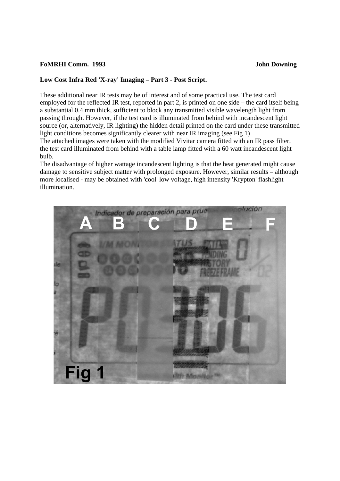## **FoMRHI Comm. 1993 John Downing**

## **Low Cost Infra Red 'X-ray' Imaging – Part 3 - Post Script.**

These additional near IR tests may be of interest and of some practical use. The test card employed for the reflected IR test, reported in part 2, is printed on one side – the card itself being a substantial 0.4 mm thick, sufficient to block any transmitted visible wavelength light from passing through. However, if the test card is illuminated from behind with incandescent light source (or, alternatively, IR lighting) the hidden detail printed on the card under these transmitted light conditions becomes significantly clearer with near IR imaging (see Fig 1) The attached images were taken with the modified Vivitar camera fitted with an IR pass filter, the test card illuminated from behind with a table lamp fitted with a 60 watt incandescent light bulb.

The disadvantage of higher wattage incandescent lighting is that the heat generated might cause damage to sensitive subject matter with prolonged exposure. However, similar results – although more localised - may be obtained with 'cool' low voltage, high intensity 'Krypton' flashlight illumination.